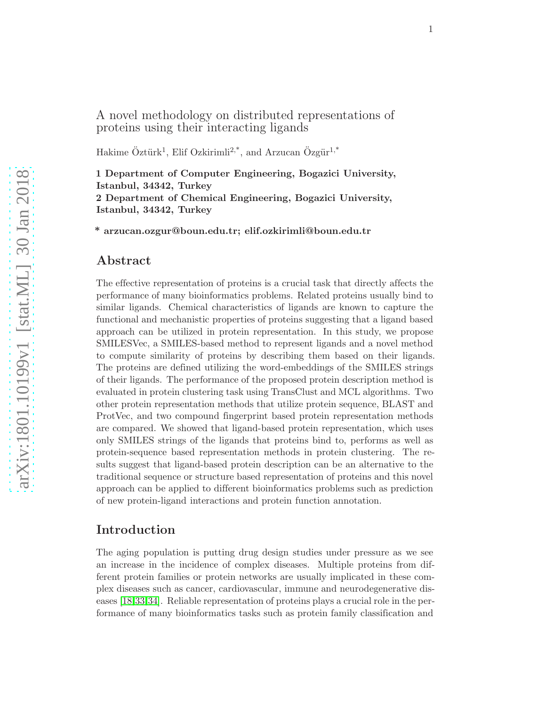## A novel methodology on distributed representations of proteins using their interacting ligands

Hakime Öztürk<sup>1</sup>, Elif Ozkirimli<sup>2,\*</sup>, and Arzucan Özgür<sup>1,\*</sup>

1 Department of Computer Engineering, Bogazici University, Istanbul, 34342, Turkey 2 Department of Chemical Engineering, Bogazici University, Istanbul, 34342, Turkey

\* arzucan.ozgur@boun.edu.tr; elif.ozkirimli@boun.edu.tr

### Abstract

The effective representation of proteins is a crucial task that directly affects the performance of many bioinformatics problems. Related proteins usually bind to similar ligands. Chemical characteristics of ligands are known to capture the functional and mechanistic properties of proteins suggesting that a ligand based approach can be utilized in protein representation. In this study, we propose SMILESVec, a SMILES-based method to represent ligands and a novel method to compute similarity of proteins by describing them based on their ligands. The proteins are defined utilizing the word-embeddings of the SMILES strings of their ligands. The performance of the proposed protein description method is evaluated in protein clustering task using TransClust and MCL algorithms. Two other protein representation methods that utilize protein sequence, BLAST and ProtVec, and two compound fingerprint based protein representation methods are compared. We showed that ligand-based protein representation, which uses only SMILES strings of the ligands that proteins bind to, performs as well as protein-sequence based representation methods in protein clustering. The results suggest that ligand-based protein description can be an alternative to the traditional sequence or structure based representation of proteins and this novel approach can be applied to different bioinformatics problems such as prediction of new protein-ligand interactions and protein function annotation.

### Introduction

The aging population is putting drug design studies under pressure as we see an increase in the incidence of complex diseases. Multiple proteins from different protein families or protein networks are usually implicated in these complex diseases such as cancer, cardiovascular, immune and neurodegenerative diseases [\[18,](#page-15-0)[33,](#page-17-0)[34\]](#page-17-1). Reliable representation of proteins plays a crucial role in the performance of many bioinformatics tasks such as protein family classification and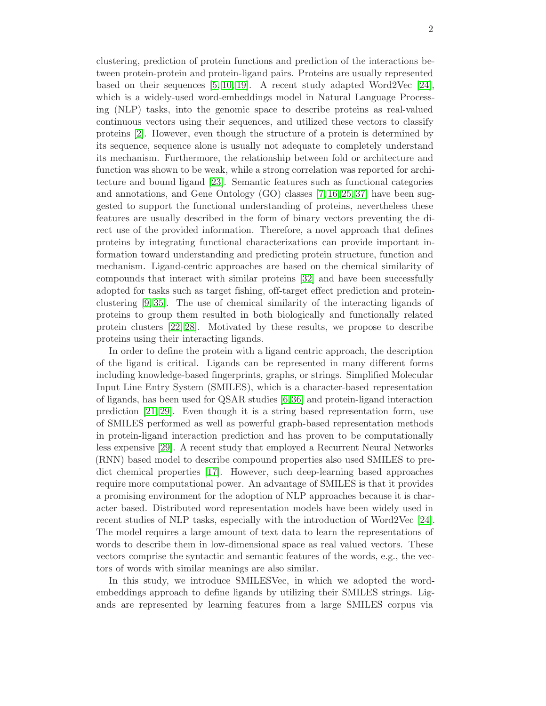clustering, prediction of protein functions and prediction of the interactions between protein-protein and protein-ligand pairs. Proteins are usually represented based on their sequences  $[5, 10, 19]$  $[5, 10, 19]$  $[5, 10, 19]$ . A recent study adapted Word2Vec  $[24]$ , which is a widely-used word-embeddings model in Natural Language Processing (NLP) tasks, into the genomic space to describe proteins as real-valued continuous vectors using their sequences, and utilized these vectors to classify proteins [\[2\]](#page-14-1). However, even though the structure of a protein is determined by its sequence, sequence alone is usually not adequate to completely understand its mechanism. Furthermore, the relationship between fold or architecture and function was shown to be weak, while a strong correlation was reported for architecture and bound ligand [\[23\]](#page-16-2). Semantic features such as functional categories and annotations, and Gene Ontology (GO) classes [\[7,](#page-15-2) [16,](#page-15-3) [25,](#page-16-3) [37\]](#page-17-2) have been suggested to support the functional understanding of proteins, nevertheless these features are usually described in the form of binary vectors preventing the direct use of the provided information. Therefore, a novel approach that defines proteins by integrating functional characterizations can provide important information toward understanding and predicting protein structure, function and mechanism. Ligand-centric approaches are based on the chemical similarity of compounds that interact with similar proteins [\[32\]](#page-16-4) and have been successfully adopted for tasks such as target fishing, off-target effect prediction and proteinclustering [\[9,](#page-15-4) [35\]](#page-17-3). The use of chemical similarity of the interacting ligands of proteins to group them resulted in both biologically and functionally related protein clusters [\[22,](#page-16-5) [28\]](#page-16-6). Motivated by these results, we propose to describe proteins using their interacting ligands.

In order to define the protein with a ligand centric approach, the description of the ligand is critical. Ligands can be represented in many different forms including knowledge-based fingerprints, graphs, or strings. Simplified Molecular Input Line Entry System (SMILES), which is a character-based representation of ligands, has been used for QSAR studies [\[6,](#page-14-2)[36\]](#page-17-4) and protein-ligand interaction prediction [\[21,](#page-16-7) [29\]](#page-16-8). Even though it is a string based representation form, use of SMILES performed as well as powerful graph-based representation methods in protein-ligand interaction prediction and has proven to be computationally less expensive [\[29\]](#page-16-8). A recent study that employed a Recurrent Neural Networks (RNN) based model to describe compound properties also used SMILES to predict chemical properties [\[17\]](#page-15-5). However, such deep-learning based approaches require more computational power. An advantage of SMILES is that it provides a promising environment for the adoption of NLP approaches because it is character based. Distributed word representation models have been widely used in recent studies of NLP tasks, especially with the introduction of Word2Vec [\[24\]](#page-16-1). The model requires a large amount of text data to learn the representations of words to describe them in low-dimensional space as real valued vectors. These vectors comprise the syntactic and semantic features of the words, e.g., the vectors of words with similar meanings are also similar.

In this study, we introduce SMILESVec, in which we adopted the wordembeddings approach to define ligands by utilizing their SMILES strings. Ligands are represented by learning features from a large SMILES corpus via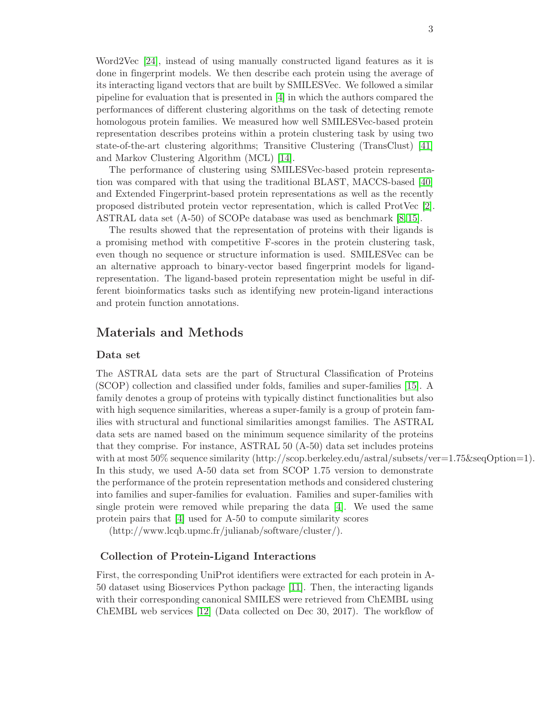Word2Vec [\[24\]](#page-16-1), instead of using manually constructed ligand features as it is done in fingerprint models. We then describe each protein using the average of its interacting ligand vectors that are built by SMILESVec. We followed a similar pipeline for evaluation that is presented in [\[4\]](#page-14-3) in which the authors compared the performances of different clustering algorithms on the task of detecting remote homologous protein families. We measured how well SMILESVec-based protein representation describes proteins within a protein clustering task by using two state-of-the-art clustering algorithms; Transitive Clustering (TransClust) [\[41\]](#page-17-5) and Markov Clustering Algorithm (MCL) [\[14\]](#page-15-6).

The performance of clustering using SMILESVec-based protein representation was compared with that using the traditional BLAST, MACCS-based [\[40\]](#page-17-6) and Extended Fingerprint-based protein representations as well as the recently proposed distributed protein vector representation, which is called ProtVec [\[2\]](#page-14-1). ASTRAL data set (A-50) of SCOPe database was used as benchmark [\[8,](#page-15-7) [15\]](#page-15-8).

The results showed that the representation of proteins with their ligands is a promising method with competitive F-scores in the protein clustering task, even though no sequence or structure information is used. SMILESVec can be an alternative approach to binary-vector based fingerprint models for ligandrepresentation. The ligand-based protein representation might be useful in different bioinformatics tasks such as identifying new protein-ligand interactions and protein function annotations.

## Materials and Methods

#### Data set

The ASTRAL data sets are the part of Structural Classification of Proteins (SCOP) collection and classified under folds, families and super-families [\[15\]](#page-15-8). A family denotes a group of proteins with typically distinct functionalities but also with high sequence similarities, whereas a super-family is a group of protein families with structural and functional similarities amongst families. The ASTRAL data sets are named based on the minimum sequence similarity of the proteins that they comprise. For instance, ASTRAL 50 (A-50) data set includes proteins with at most 50% sequence similarity (http://scop.berkeley.edu/astral/subsets/ver=1.75&seqOption=1). In this study, we used A-50 data set from SCOP 1.75 version to demonstrate the performance of the protein representation methods and considered clustering into families and super-families for evaluation. Families and super-families with single protein were removed while preparing the data [\[4\]](#page-14-3). We used the same protein pairs that [\[4\]](#page-14-3) used for A-50 to compute similarity scores

(http://www.lcqb.upmc.fr/julianab/software/cluster/).

### Collection of Protein-Ligand Interactions

First, the corresponding UniProt identifiers were extracted for each protein in A-50 dataset using Bioservices Python package [\[11\]](#page-15-9). Then, the interacting ligands with their corresponding canonical SMILES were retrieved from ChEMBL using ChEMBL web services [\[12\]](#page-15-10) (Data collected on Dec 30, 2017). The workflow of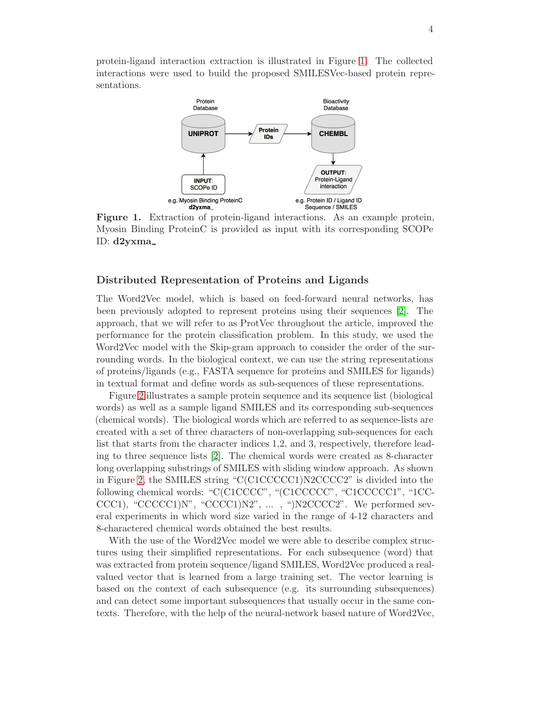<span id="page-3-0"></span>protein-ligand interaction extraction is illustrated in Figure [1.](#page-3-0) The collected interactions were used to build the proposed SMILESVec-based protein representations.



Figure 1. Extraction of protein-ligand interactions. As an example protein, Myosin Binding ProteinC is provided as input with its corresponding SCOPe ID: d2yxma

#### Distributed Representation of Proteins and Ligands

The Word2Vec model, which is based on feed-forward neural networks, has been previously adopted to represent proteins using their sequences [\[2\]](#page-14-1). The approach, that we will refer to as ProtVec throughout the article, improved the performance for the protein classification problem. In this study, we used the Word2Vec model with the Skip-gram approach to consider the order of the surrounding words. In the biological context, we can use the string representations of proteins/ligands (e.g., FASTA sequence for proteins and SMILES for ligands) in textual format and define words as sub-sequences of these representations.

Figure [2](#page-4-0) illustrates a sample protein sequence and its sequence list (biological words) as well as a sample ligand SMILES and its corresponding sub-sequences (chemical words). The biological words which are referred to as sequence-lists are created with a set of three characters of non-overlapping sub-sequences for each list that starts from the character indices 1,2, and 3, respectively, therefore leading to three sequence lists [\[2\]](#page-14-1). The chemical words were created as 8-character long overlapping substrings of SMILES with sliding window approach. As shown in Figure [2,](#page-4-0) the SMILES string "C(C1CCCCC1)N2CCCC2" is divided into the following chemical words: "C(C1CCCC", "(C1CCCCC", "C1CCCCC1", "1CC-CCC1), "CCCCC1)N", "CCCC1)N2", ..., ")N2CCCC2". We performed several experiments in which word size varied in the range of 4-12 characters and 8-charactered chemical words obtained the best results.

With the use of the Word2Vec model we were able to describe complex structures using their simplified representations. For each subsequence (word) that was extracted from protein sequence/ligand SMILES, Word2Vec produced a realvalued vector that is learned from a large training set. The vector learning is based on the context of each subsequence (e.g. its surrounding subsequences) and can detect some important subsequences that usually occur in the same contexts. Therefore, with the help of the neural-network based nature of Word2Vec,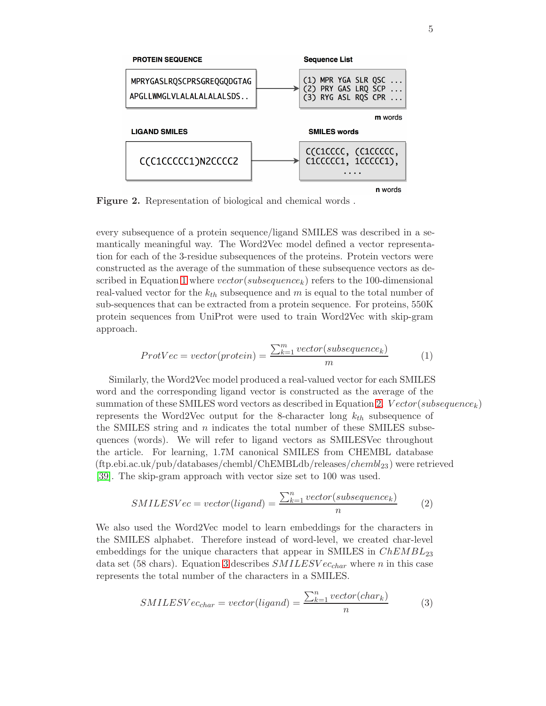<span id="page-4-0"></span>

Figure 2. Representation of biological and chemical words .

every subsequence of a protein sequence/ligand SMILES was described in a semantically meaningful way. The Word2Vec model defined a vector representation for each of the 3-residue subsequences of the proteins. Protein vectors were constructed as the average of the summation of these subsequence vectors as de-scribed in Equation [1](#page-4-1) where  $vector(subsequence_k)$  refers to the 100-dimensional real-valued vector for the  $k_{th}$  subsequence and m is equal to the total number of sub-sequences that can be extracted from a protein sequence. For proteins, 550K protein sequences from UniProt were used to train Word2Vec with skip-gram approach.

<span id="page-4-1"></span>
$$
ProtVec = vector(protein) = \frac{\sum_{k=1}^{m} vector(subsequence_k)}{m}
$$
 (1)

Similarly, the Word2Vec model produced a real-valued vector for each SMILES word and the corresponding ligand vector is constructed as the average of the summation of these SMILES word vectors as described in Equation [2.](#page-4-2)  $Vector(subsequence_k)$ represents the Word2Vec output for the 8-character long  $k_{th}$  subsequence of the SMILES string and  $n$  indicates the total number of these SMILES subsequences (words). We will refer to ligand vectors as SMILESVec throughout the article. For learning, 1.7M canonical SMILES from CHEMBL database  $(ftp.ebi.ac.uk/pub/databases/chembl/ChEMBLdb/releases/chembl_{23})$  were retrieved [\[39\]](#page-17-7). The skip-gram approach with vector size set to 100 was used.

<span id="page-4-2"></span>
$$
SMILESVec = vector(ligand) = \frac{\sum_{k=1}^{n} vector(subsequence_k)}{n}
$$
 (2)

We also used the Word2Vec model to learn embeddings for the characters in the SMILES alphabet. Therefore instead of word-level, we created char-level embeddings for the unique characters that appear in SMILES in  $ChEMBL_{23}$ data set (58 chars). Equation [3](#page-4-3) describes  $SMILESVec_{char}$  where n in this case represents the total number of the characters in a SMILES.

<span id="page-4-3"></span>
$$
SMILESVec_{char} = vector(ligand) = \frac{\sum_{k=1}^{n} vector(char_k)}{n}
$$
 (3)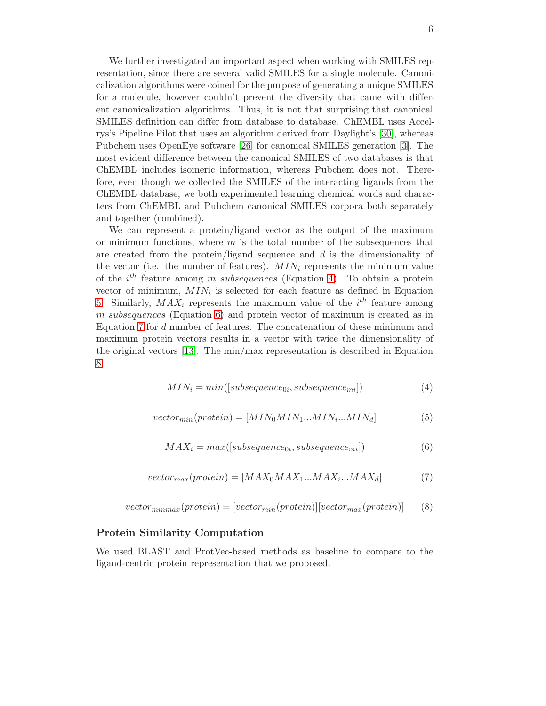We further investigated an important aspect when working with SMILES representation, since there are several valid SMILES for a single molecule. Canonicalization algorithms were coined for the purpose of generating a unique SMILES for a molecule, however couldn't prevent the diversity that came with different canonicalization algorithms. Thus, it is not that surprising that canonical SMILES definition can differ from database to database. ChEMBL uses Accelrys's Pipeline Pilot that uses an algorithm derived from Daylight's [\[30\]](#page-16-9), whereas Pubchem uses OpenEye software [\[26\]](#page-16-10) for canonical SMILES generation [\[3\]](#page-14-4). The most evident difference between the canonical SMILES of two databases is that ChEMBL includes isomeric information, whereas Pubchem does not. Therefore, even though we collected the SMILES of the interacting ligands from the ChEMBL database, we both experimented learning chemical words and characters from ChEMBL and Pubchem canonical SMILES corpora both separately and together (combined).

We can represent a protein/ligand vector as the output of the maximum or minimum functions, where  $m$  is the total number of the subsequences that are created from the protein/ligand sequence and  $d$  is the dimensionality of the vector (i.e. the number of features).  $MIN_i$  represents the minimum value of the  $i^{th}$  feature among m subsequences (Equation [4\)](#page-5-0). To obtain a protein vector of minimum,  $MIN_i$  is selected for each feature as defined in Equation [5.](#page-5-1) Similarly,  $MAX_i$  represents the maximum value of the  $i<sup>th</sup>$  feature among m subsequences (Equation [6\)](#page-5-2) and protein vector of maximum is created as in Equation [7](#page-5-3) for d number of features. The concatenation of these minimum and maximum protein vectors results in a vector with twice the dimensionality of the original vectors [\[13\]](#page-15-11). The min/max representation is described in Equation [8.](#page-5-4)

<span id="page-5-0"></span>
$$
MIN_i = min([subsequence_{0i}, subsequence_{mi}])
$$
\n(4)

<span id="page-5-2"></span><span id="page-5-1"></span>
$$
vector_{min}(protein) = [MIN_0 MIN_1...MIN_i...MIN_d] \tag{5}
$$

$$
MAX_i = max([subsequence_{0i}, subsequence_{mi}])
$$
\n(6)

<span id="page-5-3"></span>
$$
vector_{max}(protein) = [MAX_0MAX_1...MAX_i...MAX_d]
$$
 (7)

<span id="page-5-4"></span>
$$
vector_{minmax}(protein) = [vector_{min}(protein)][vector_{max}(protein)]
$$
 (8)

#### Protein Similarity Computation

We used BLAST and ProtVec-based methods as baseline to compare to the ligand-centric protein representation that we proposed.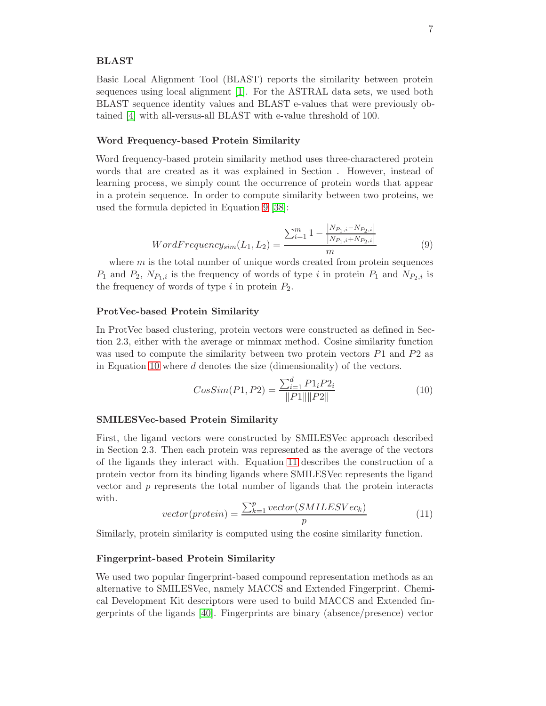#### BLAST

Basic Local Alignment Tool (BLAST) reports the similarity between protein sequences using local alignment [\[1\]](#page-14-5). For the ASTRAL data sets, we used both BLAST sequence identity values and BLAST e-values that were previously obtained [\[4\]](#page-14-3) with all-versus-all BLAST with e-value threshold of 100.

#### Word Frequency-based Protein Similarity

<span id="page-6-0"></span>Word frequency-based protein similarity method uses three-charactered protein words that are created as it was explained in Section . However, instead of learning process, we simply count the occurrence of protein words that appear in a protein sequence. In order to compute similarity between two proteins, we used the formula depicted in Equation [9](#page-6-0) [\[38\]](#page-17-8):

$$
WordFrequency_{sim}(L_1, L_2) = \frac{\sum_{i=1}^{m} 1 - \frac{|N_{P_1,i} - N_{P_2,i}|}{|N_{P_1,i} + N_{P_2,i}|}}{m}
$$
(9)

where  $m$  is the total number of unique words created from protein sequences  $P_1$  and  $P_2$ ,  $N_{P_1,i}$  is the frequency of words of type i in protein  $P_1$  and  $N_{P_2,i}$  is the frequency of words of type i in protein  $P_2$ .

#### ProtVec-based Protein Similarity

In ProtVec based clustering, protein vectors were constructed as defined in Section 2.3, either with the average or minmax method. Cosine similarity function was used to compute the similarity between two protein vectors  $P1$  and  $P2$  as in Equation [10](#page-6-1) where d denotes the size (dimensionality) of the vectors.

<span id="page-6-1"></span>
$$
CosSim(P1, P2) = \frac{\sum_{i=1}^{d} P1_i P2_i}{\|P1\| \|P2\|}
$$
\n(10)

#### SMILESVec-based Protein Similarity

First, the ligand vectors were constructed by SMILESVec approach described in Section 2.3. Then each protein was represented as the average of the vectors of the ligands they interact with. Equation [11](#page-6-2) describes the construction of a protein vector from its binding ligands where SMILESVec represents the ligand vector and p represents the total number of ligands that the protein interacts with.

<span id="page-6-2"></span>
$$
vector(protein) = \frac{\sum_{k=1}^{p} vector(SMILESVec_k)}{p}
$$
\n(11)

Similarly, protein similarity is computed using the cosine similarity function.

#### Fingerprint-based Protein Similarity

We used two popular fingerprint-based compound representation methods as an alternative to SMILESVec, namely MACCS and Extended Fingerprint. Chemical Development Kit descriptors were used to build MACCS and Extended fingerprints of the ligands [\[40\]](#page-17-6). Fingerprints are binary (absence/presence) vector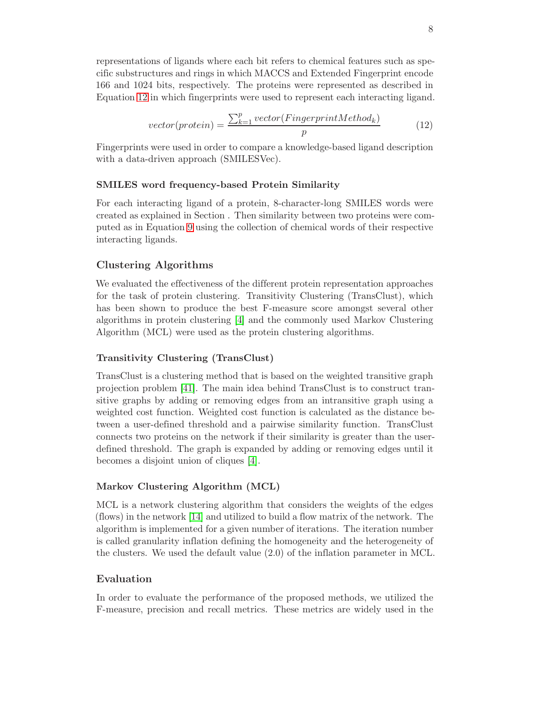representations of ligands where each bit refers to chemical features such as specific substructures and rings in which MACCS and Extended Fingerprint encode 166 and 1024 bits, respectively. The proteins were represented as described in Equation [12](#page-7-0) in which fingerprints were used to represent each interacting ligand.

$$
vector(protein) = \frac{\sum_{k=1}^{p} vector(FingerprintMethod_k)}{p}
$$
 (12)

<span id="page-7-0"></span>Fingerprints were used in order to compare a knowledge-based ligand description with a data-driven approach *(SMILESVec)*.

### SMILES word frequency-based Protein Similarity

For each interacting ligand of a protein, 8-character-long SMILES words were created as explained in Section . Then similarity between two proteins were computed as in Equation [9](#page-6-0) using the collection of chemical words of their respective interacting ligands.

## Clustering Algorithms

We evaluated the effectiveness of the different protein representation approaches for the task of protein clustering. Transitivity Clustering (TransClust), which has been shown to produce the best F-measure score amongst several other algorithms in protein clustering [\[4\]](#page-14-3) and the commonly used Markov Clustering Algorithm (MCL) were used as the protein clustering algorithms.

### Transitivity Clustering (TransClust)

TransClust is a clustering method that is based on the weighted transitive graph projection problem [\[41\]](#page-17-5). The main idea behind TransClust is to construct transitive graphs by adding or removing edges from an intransitive graph using a weighted cost function. Weighted cost function is calculated as the distance between a user-defined threshold and a pairwise similarity function. TransClust connects two proteins on the network if their similarity is greater than the userdefined threshold. The graph is expanded by adding or removing edges until it becomes a disjoint union of cliques [\[4\]](#page-14-3).

### Markov Clustering Algorithm (MCL)

MCL is a network clustering algorithm that considers the weights of the edges (flows) in the network [\[14\]](#page-15-6) and utilized to build a flow matrix of the network. The algorithm is implemented for a given number of iterations. The iteration number is called granularity inflation defining the homogeneity and the heterogeneity of the clusters. We used the default value (2.0) of the inflation parameter in MCL.

### Evaluation

In order to evaluate the performance of the proposed methods, we utilized the F-measure, precision and recall metrics. These metrics are widely used in the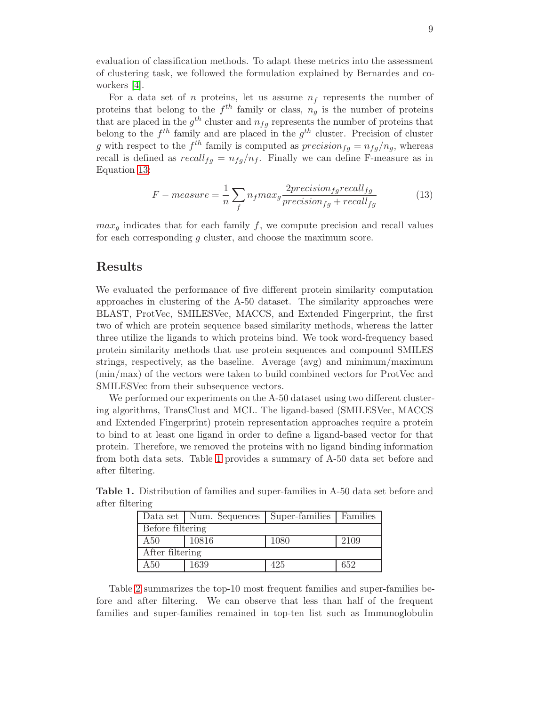evaluation of classification methods. To adapt these metrics into the assessment of clustering task, we followed the formulation explained by Bernardes and coworkers [\[4\]](#page-14-3).

For a data set of n proteins, let us assume  $n_f$  represents the number of proteins that belong to the  $f^{th}$  family or class,  $n_g$  is the number of proteins that are placed in the  $g^{th}$  cluster and  $n_{fg}$  represents the number of proteins that belong to the  $f^{th}$  family and are placed in the  $g^{th}$  cluster. Precision of cluster g with respect to the  $f^{th}$  family is computed as  $precision_{fg} = n_{fg}/n_{g}$ , whereas recall is defined as  $recall_{fg} = n_{fg}/n_{f}$ . Finally we can define F-measure as in Equation [13:](#page-8-0)

<span id="page-8-0"></span>
$$
F-measure = \frac{1}{n} \sum_{f} n_f max_g \frac{2precision_{fg} recall_{fg}}{precision_{fg} + recall_{fg}}
$$
(13)

 $max<sub>q</sub>$  indicates that for each family f, we compute precision and recall values for each corresponding g cluster, and choose the maximum score.

## Results

We evaluated the performance of five different protein similarity computation approaches in clustering of the A-50 dataset. The similarity approaches were BLAST, ProtVec, SMILESVec, MACCS, and Extended Fingerprint, the first two of which are protein sequence based similarity methods, whereas the latter three utilize the ligands to which proteins bind. We took word-frequency based protein similarity methods that use protein sequences and compound SMILES strings, respectively, as the baseline. Average (avg) and minimum/maximum (min/max) of the vectors were taken to build combined vectors for ProtVec and SMILESVec from their subsequence vectors.

We performed our experiments on the A-50 dataset using two different clustering algorithms, TransClust and MCL. The ligand-based (SMILESVec, MACCS and Extended Fingerprint) protein representation approaches require a protein to bind to at least one ligand in order to define a ligand-based vector for that protein. Therefore, we removed the proteins with no ligand binding information from both data sets. Table [1](#page-8-1) provides a summary of A-50 data set before and after filtering.

|                  | Data set   Num. Sequences   Super-families   Families |      |      |  |  |  |  |  |
|------------------|-------------------------------------------------------|------|------|--|--|--|--|--|
| Before filtering |                                                       |      |      |  |  |  |  |  |
| A50              | 10816                                                 | 1080 | 2109 |  |  |  |  |  |
| After filtering  |                                                       |      |      |  |  |  |  |  |
| A50              | 1639                                                  | 425  | 652  |  |  |  |  |  |

<span id="page-8-1"></span>Table 1. Distribution of families and super-families in A-50 data set before and after filtering

Table [2](#page-9-0) summarizes the top-10 most frequent families and super-families before and after filtering. We can observe that less than half of the frequent families and super-families remained in top-ten list such as Immunoglobulin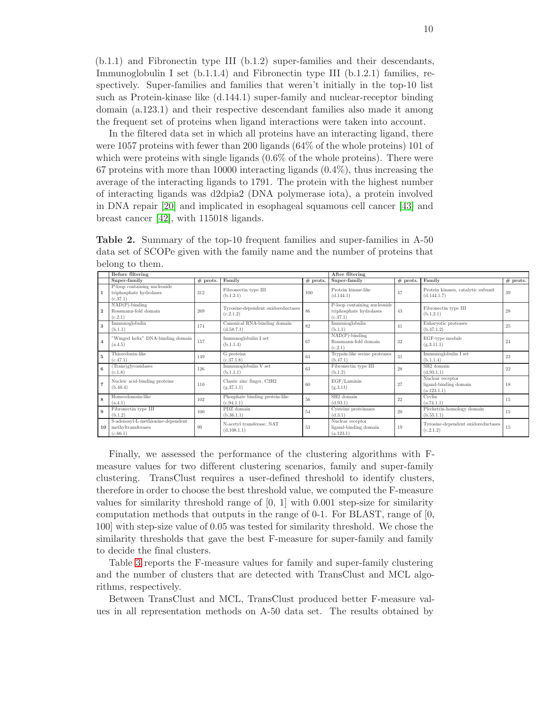(b.1.1) and Fibronectin type III (b.1.2) super-families and their descendants, Immunoglobulin I set (b.1.1.4) and Fibronectin type III (b.1.2.1) families, respectively. Super-families and families that weren't initially in the top-10 list such as Protein-kinase like (d.144.1) super-family and nuclear-receptor binding domain (a.123.1) and their respective descendant families also made it among the frequent set of proteins when ligand interactions were taken into account.

In the filtered data set in which all proteins have an interacting ligand, there were 1057 proteins with fewer than 200 ligands (64% of the whole proteins) 101 of which were proteins with single ligands  $(0.6\%$  of the whole proteins). There were 67 proteins with more than 10000 interacting ligands  $(0.4\%)$ , thus increasing the average of the interacting ligands to 1791. The protein with the highest number of interacting ligands was d2dpia2 (DNA polymerase iota), a protein involved in DNA repair [\[20\]](#page-16-11) and implicated in esophageal squamous cell cancer [\[43\]](#page-17-9) and breast cancer [\[42\]](#page-17-10), with 115018 ligands.

<span id="page-9-0"></span>Table 2. Summary of the top-10 frequent families and super-families in A-50 data set of SCOPe given with the family name and the number of proteins that belong to them.

|                | Before filtering                                                    |            |                                                 |            | After filtering                                                     |            |                                                          |            |  |
|----------------|---------------------------------------------------------------------|------------|-------------------------------------------------|------------|---------------------------------------------------------------------|------------|----------------------------------------------------------|------------|--|
|                | Super-family                                                        | $#$ prots. | Family                                          | $#$ prots. | Super-family                                                        | $#$ prots. | Family                                                   | $#$ prots. |  |
|                | P-loop containing nucleoside<br>triphosphate hydrolases<br>(c.37.1) | 312        | Fibronectin type III<br>(b.1.2.1)               | 100        | Protein kinase-like<br>(d.144.1)                                    | 47         | Protein kinases, catalytic subunit<br>(d.144.1.7)        | 39         |  |
| $\mathbf{2}$   | $NAD(P)$ -binding<br>Rossmann-fold domain<br>(c.2.1)                | 269        | Tyrosine-dependent oxidoreductases<br>(c.2.1.2) | 86         | P-loop containing nucleoside<br>triphosphate hydrolases<br>(c.37.1) | 43         | Fibronectin type III<br>(b.1.2.1)                        | 28         |  |
| 3              | Immunoglobulin<br>(b.1.1)                                           | 174        | Canonical RNA-binding domain<br>(d.58.7.1)      | 82         | Immunoglobulin<br>(b.1.1)                                           | 41         | Eukaryotic proteases<br>(b.47.1.2)                       | 25         |  |
| $\overline{4}$ | "Winged helix" DNA-binding domain<br>(a.4.5)                        | 157        | Immunoglobulin I set<br>(b.1.1.4)               | 67         | $NAD(P)$ -binding<br>Rossmann-fold domain<br>(c.2.1)                | 32         | EGF-type module<br>(g.3.11.1)                            | 24         |  |
| 5              | Thioredoxin-like<br>(c.47.1)                                        | 149        | G proteins<br>(c.37.1.8)                        | 64         | Trypsin-like serine proteases<br>(b.47.1)                           | 31         | Immunoglobulin I set<br>(b.1.1.4)                        | 23         |  |
| 6              | Trans)glycosidases<br>(c.1.8)                                       | 126        | Immunoglobulin V set<br>(b.1.1.1)               | 63         | Fibronectin type III<br>(b.1.2)                                     | 28         | SH <sub>2</sub> domain<br>(d.93.1.1)                     | 22         |  |
|                | Nucleic acid-binding proteins<br>(b.40.4)                           | 110        | Classic zinc finger, C2H2<br>(g.37.1.1)         | 60         | EGF/Laminin<br>(g.3.11)                                             | 27         | Nuclear receptor<br>ligand-binding domain<br>(a.123.1.1) | 18         |  |
| 8              | Homeodomain-like<br>(a.4.1)                                         | 102        | Phosphate binding protein-like<br>(c.94.1.1)    | 56         | SH <sub>2</sub> domain<br>(d.93.1)                                  | 22         | Cyclin<br>(a.74.1.1)                                     | 15         |  |
| 9              | Fibronectin type III<br>(b.1.2)                                     | 100        | PDZ domain<br>(b.36.1.1)                        | 54         | Cysteine proteinases<br>(d.3.1)                                     | 20         | Pleckstrin-homology domain<br>(b.55.1.1)                 | 15         |  |
| 10             | S-adenosyl-L-methionine-dependent<br>methyltransferases<br>(c.66.1) | 99         | N-acetyl transferase, NAT<br>(d.108.1.1)        | 53         | Nuclear receptor<br>ligand-binding domain<br>(a.123.1)              | 19         | Tyrosine-dependent oxidoreductases<br>(c.2.1.2)          | 15         |  |

Finally, we assessed the performance of the clustering algorithms with Fmeasure values for two different clustering scenarios, family and super-family clustering. TransClust requires a user-defined threshold to identify clusters, therefore in order to choose the best threshold value, we computed the F-measure values for similarity threshold range of  $[0, 1]$  with 0.001 step-size for similarity computation methods that outputs in the range of  $0-1$ . For BLAST, range of  $[0,$ 100] with step-size value of 0.05 was tested for similarity threshold. We chose the similarity thresholds that gave the best F-measure for super-family and family to decide the final clusters.

Table [3](#page-10-0) reports the F-measure values for family and super-family clustering and the number of clusters that are detected with TransClust and MCL algorithms, respectively.

Between TransClust and MCL, TransClust produced better F-measure values in all representation methods on A-50 data set. The results obtained by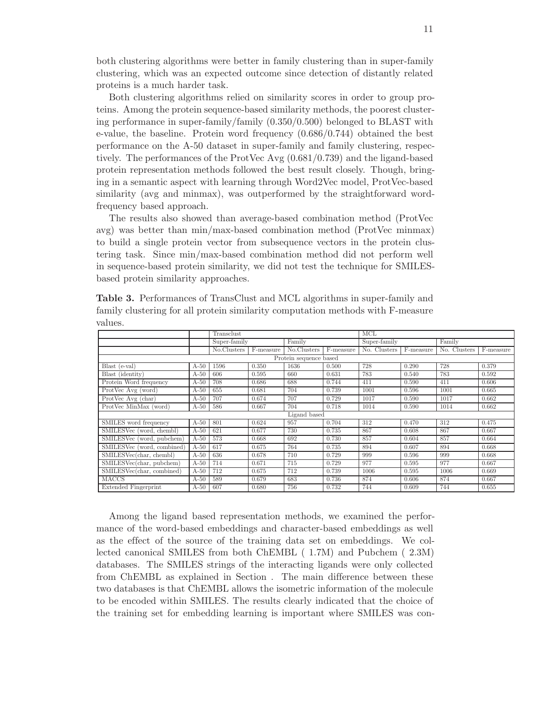both clustering algorithms were better in family clustering than in super-family clustering, which was an expected outcome since detection of distantly related proteins is a much harder task.

Both clustering algorithms relied on similarity scores in order to group proteins. Among the protein sequence-based similarity methods, the poorest clustering performance in super-family/family (0.350/0.500) belonged to BLAST with e-value, the baseline. Protein word frequency (0.686/0.744) obtained the best performance on the A-50 dataset in super-family and family clustering, respectively. The performances of the ProtVec Avg (0.681/0.739) and the ligand-based protein representation methods followed the best result closely. Though, bringing in a semantic aspect with learning through Word2Vec model, ProtVec-based similarity (avg and minmax), was outperformed by the straightforward wordfrequency based approach.

The results also showed than average-based combination method (ProtVec avg) was better than min/max-based combination method (ProtVec minmax) to build a single protein vector from subsequence vectors in the protein clustering task. Since min/max-based combination method did not perform well in sequence-based protein similarity, we did not test the technique for SMILESbased protein similarity approaches.

|                             |              | Transclust   |           |             | MCL       |              |           |              |           |
|-----------------------------|--------------|--------------|-----------|-------------|-----------|--------------|-----------|--------------|-----------|
|                             |              | Super-family |           | Family      |           | Super-family |           | Family       |           |
|                             |              | No.Clusters  | F-measure | No.Clusters | F-measure | No. Clusters | F-measure | No. Clusters | F-measure |
| Protein sequence based      |              |              |           |             |           |              |           |              |           |
| Blast (e-val)               | $A-50$       | 1596         | 0.350     | 1636        | 0.500     | 728          | 0.290     | 728          | 0.379     |
| Blast (identity)            | $A-50$       | 606          | 0.595     | 660         | 0.631     | 783          | 0.540     | 783          | 0.592     |
| Protein Word frequency      | $A-50$       | 708          | 0.686     | 688         | 0.744     | 411          | 0.590     | 411          | 0.606     |
| ProtVec Avg (word)          | $A-50$       | 655          | 0.681     | 704         | 0.739     | 1001         | 0.596     | 1001         | 0.665     |
| ProtVec Avg (char)          | $A-50$       | 707          | 0.674     | 707         | 0.729     | 1017         | 0.590     | 1017         | 0.662     |
| ProtVec MinMax (word)       | $A-50$       | 586          | 0.667     | 704         | 0.718     | 1014         | 0.590     | 1014         | 0.662     |
|                             | Ligand based |              |           |             |           |              |           |              |           |
| SMILES word frequency       | $A-50$       | 801          | 0.624     | 957         | 0.704     | 312          | 0.470     | 312          | 0.475     |
| SMILESVec (word, chembl)    | $A-50$       | 621          | 0.677     | 730         | 0.735     | 867          | 0.608     | 867          | 0.667     |
| SMILESVec (word, pubchem)   | $A-50$       | 573          | 0.668     | 692         | 0.730     | 857          | 0.604     | 857          | 0.664     |
| SMILESVec (word, combined)  | $A-50$       | 617          | 0.675     | 764         | 0.735     | 894          | 0.607     | 894          | 0.668     |
| SMILESVec(char, chembl)     | $A-50$       | 636          | 0.678     | 710         | 0.729     | 999          | 0.596     | 999          | 0.668     |
| SMILESVec(char, pubchem)    | $A-50$       | 714          | 0.671     | 715         | 0.729     | 977          | 0.595     | 977          | 0.667     |
| SMILESVec(char, combined)   | $A-50$       | 712          | 0.675     | 712         | 0.739     | 1006         | 0.595     | 1006         | 0.669     |
| <b>MACCS</b>                | $A-50$       | 589          | 0.679     | 683         | 0.736     | 874          | 0.606     | 874          | 0.667     |
| <b>Extended Fingerprint</b> | $A-50$       | 607          | 0.680     | 756         | 0.732     | 744          | 0.609     | 744          | 0.655     |

<span id="page-10-0"></span>Table 3. Performances of TransClust and MCL algorithms in super-family and family clustering for all protein similarity computation methods with F-measure values.

Among the ligand based representation methods, we examined the performance of the word-based embeddings and character-based embeddings as well as the effect of the source of the training data set on embeddings. We collected canonical SMILES from both ChEMBL ( 1.7M) and Pubchem ( 2.3M) databases. The SMILES strings of the interacting ligands were only collected from ChEMBL as explained in Section . The main difference between these two databases is that ChEMBL allows the isometric information of the molecule to be encoded within SMILES. The results clearly indicated that the choice of the training set for embedding learning is important where SMILES was con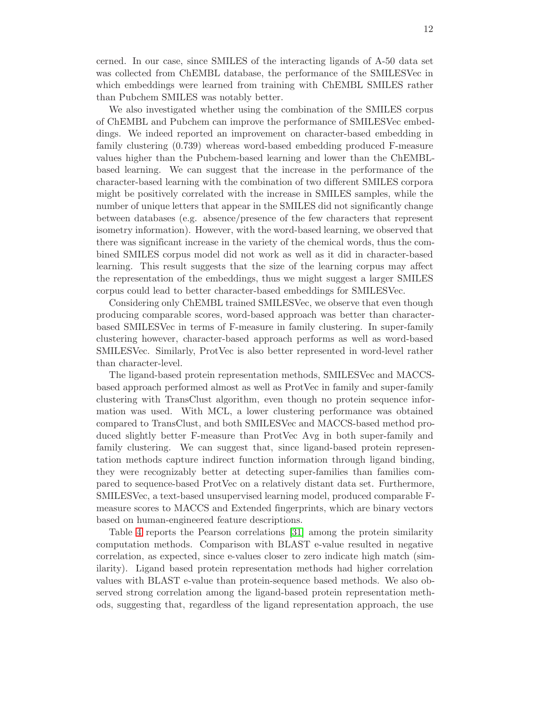cerned. In our case, since SMILES of the interacting ligands of A-50 data set was collected from ChEMBL database, the performance of the SMILESVec in which embeddings were learned from training with ChEMBL SMILES rather than Pubchem SMILES was notably better.

We also investigated whether using the combination of the SMILES corpus of ChEMBL and Pubchem can improve the performance of SMILESVec embeddings. We indeed reported an improvement on character-based embedding in family clustering (0.739) whereas word-based embedding produced F-measure values higher than the Pubchem-based learning and lower than the ChEMBLbased learning. We can suggest that the increase in the performance of the character-based learning with the combination of two different SMILES corpora might be positively correlated with the increase in SMILES samples, while the number of unique letters that appear in the SMILES did not significantly change between databases (e.g. absence/presence of the few characters that represent isometry information). However, with the word-based learning, we observed that there was significant increase in the variety of the chemical words, thus the combined SMILES corpus model did not work as well as it did in character-based learning. This result suggests that the size of the learning corpus may affect the representation of the embeddings, thus we might suggest a larger SMILES corpus could lead to better character-based embeddings for SMILESVec.

Considering only ChEMBL trained SMILESVec, we observe that even though producing comparable scores, word-based approach was better than characterbased SMILESVec in terms of F-measure in family clustering. In super-family clustering however, character-based approach performs as well as word-based SMILESVec. Similarly, ProtVec is also better represented in word-level rather than character-level.

The ligand-based protein representation methods, SMILESVec and MACCSbased approach performed almost as well as ProtVec in family and super-family clustering with TransClust algorithm, even though no protein sequence information was used. With MCL, a lower clustering performance was obtained compared to TransClust, and both SMILESVec and MACCS-based method produced slightly better F-measure than ProtVec Avg in both super-family and family clustering. We can suggest that, since ligand-based protein representation methods capture indirect function information through ligand binding, they were recognizably better at detecting super-families than families compared to sequence-based ProtVec on a relatively distant data set. Furthermore, SMILESVec, a text-based unsupervised learning model, produced comparable Fmeasure scores to MACCS and Extended fingerprints, which are binary vectors based on human-engineered feature descriptions.

Table [4](#page-12-0) reports the Pearson correlations [\[31\]](#page-16-12) among the protein similarity computation methods. Comparison with BLAST e-value resulted in negative correlation, as expected, since e-values closer to zero indicate high match (similarity). Ligand based protein representation methods had higher correlation values with BLAST e-value than protein-sequence based methods. We also observed strong correlation among the ligand-based protein representation methods, suggesting that, regardless of the ligand representation approach, the use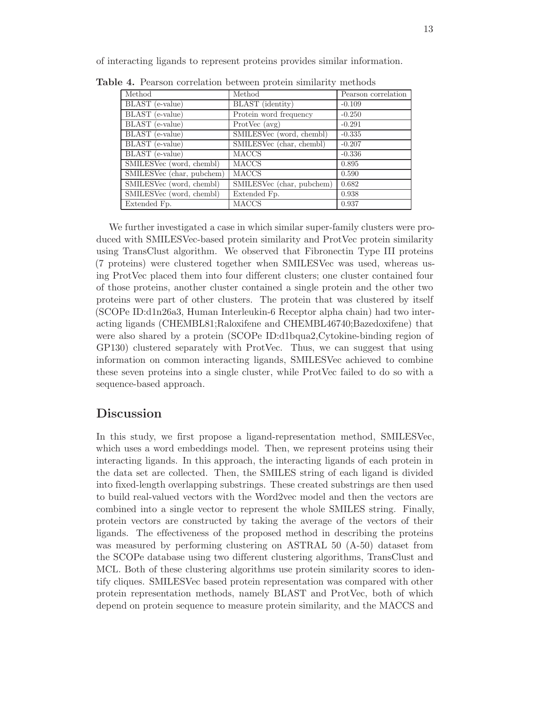Table 4. Pearson correlation between protein similarity methods Method Nethod Pearson correlation BLAST (e-value) BLAST (identity) -0.109 BLAST (e-value) Protein word frequency |  $-0.250$ BLAST (e-value) ProtVec (avg) | -0.291 BLAST (e-value) SMILESVec (word, chembl) -0.335 BLAST (e-value) SMILESVec (char, chembl) -0.207 BLAST (e-value) MACCS 1-0.336 SMILESVec (word, chembl) MACCS 0.895 SMILESVec (char, pubchem) MACCS 0.590 SMILESVec (word, chembl) SMILESVec (char, pubchem) 0.682 SMILESVec (word, chembl) Extended Fp. (0.938) Extended Fp. MACCS 10.937

<span id="page-12-0"></span>of interacting ligands to represent proteins provides similar information.

We further investigated a case in which similar super-family clusters were produced with SMILESVec-based protein similarity and ProtVec protein similarity using TransClust algorithm. We observed that Fibronectin Type III proteins (7 proteins) were clustered together when SMILESVec was used, whereas using ProtVec placed them into four different clusters; one cluster contained four of those proteins, another cluster contained a single protein and the other two proteins were part of other clusters. The protein that was clustered by itself (SCOPe ID:d1n26a3, Human Interleukin-6 Receptor alpha chain) had two interacting ligands (CHEMBL81;Raloxifene and CHEMBL46740;Bazedoxifene) that were also shared by a protein (SCOPe ID:d1bqua2,Cytokine-binding region of GP130) clustered separately with ProtVec. Thus, we can suggest that using information on common interacting ligands, SMILESVec achieved to combine these seven proteins into a single cluster, while ProtVec failed to do so with a sequence-based approach.

## **Discussion**

In this study, we first propose a ligand-representation method, SMILESVec, which uses a word embeddings model. Then, we represent proteins using their interacting ligands. In this approach, the interacting ligands of each protein in the data set are collected. Then, the SMILES string of each ligand is divided into fixed-length overlapping substrings. These created substrings are then used to build real-valued vectors with the Word2vec model and then the vectors are combined into a single vector to represent the whole SMILES string. Finally, protein vectors are constructed by taking the average of the vectors of their ligands. The effectiveness of the proposed method in describing the proteins was measured by performing clustering on ASTRAL 50 (A-50) dataset from the SCOPe database using two different clustering algorithms, TransClust and MCL. Both of these clustering algorithms use protein similarity scores to identify cliques. SMILESVec based protein representation was compared with other protein representation methods, namely BLAST and ProtVec, both of which depend on protein sequence to measure protein similarity, and the MACCS and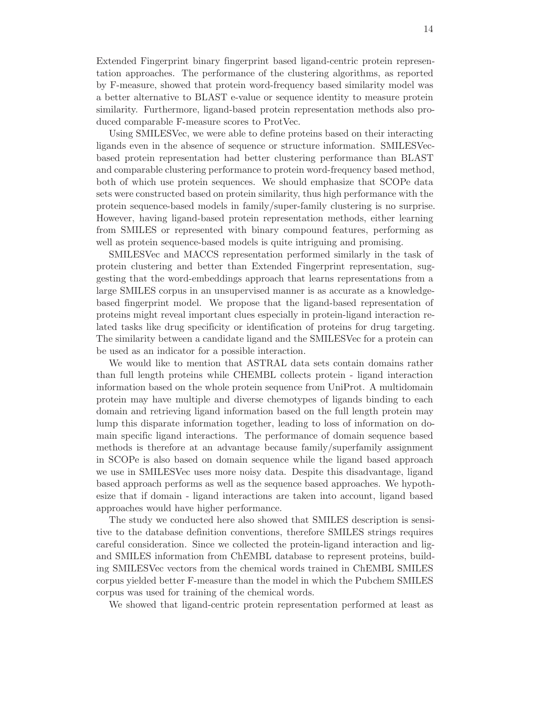Extended Fingerprint binary fingerprint based ligand-centric protein representation approaches. The performance of the clustering algorithms, as reported by F-measure, showed that protein word-frequency based similarity model was a better alternative to BLAST e-value or sequence identity to measure protein similarity. Furthermore, ligand-based protein representation methods also produced comparable F-measure scores to ProtVec.

Using SMILESVec, we were able to define proteins based on their interacting ligands even in the absence of sequence or structure information. SMILESVecbased protein representation had better clustering performance than BLAST and comparable clustering performance to protein word-frequency based method, both of which use protein sequences. We should emphasize that SCOPe data sets were constructed based on protein similarity, thus high performance with the protein sequence-based models in family/super-family clustering is no surprise. However, having ligand-based protein representation methods, either learning from SMILES or represented with binary compound features, performing as well as protein sequence-based models is quite intriguing and promising.

SMILESVec and MACCS representation performed similarly in the task of protein clustering and better than Extended Fingerprint representation, suggesting that the word-embeddings approach that learns representations from a large SMILES corpus in an unsupervised manner is as accurate as a knowledgebased fingerprint model. We propose that the ligand-based representation of proteins might reveal important clues especially in protein-ligand interaction related tasks like drug specificity or identification of proteins for drug targeting. The similarity between a candidate ligand and the SMILESVec for a protein can be used as an indicator for a possible interaction.

We would like to mention that ASTRAL data sets contain domains rather than full length proteins while CHEMBL collects protein - ligand interaction information based on the whole protein sequence from UniProt. A multidomain protein may have multiple and diverse chemotypes of ligands binding to each domain and retrieving ligand information based on the full length protein may lump this disparate information together, leading to loss of information on domain specific ligand interactions. The performance of domain sequence based methods is therefore at an advantage because family/superfamily assignment in SCOPe is also based on domain sequence while the ligand based approach we use in SMILESVec uses more noisy data. Despite this disadvantage, ligand based approach performs as well as the sequence based approaches. We hypothesize that if domain - ligand interactions are taken into account, ligand based approaches would have higher performance.

The study we conducted here also showed that SMILES description is sensitive to the database definition conventions, therefore SMILES strings requires careful consideration. Since we collected the protein-ligand interaction and ligand SMILES information from ChEMBL database to represent proteins, building SMILESVec vectors from the chemical words trained in ChEMBL SMILES corpus yielded better F-measure than the model in which the Pubchem SMILES corpus was used for training of the chemical words.

We showed that ligand-centric protein representation performed at least as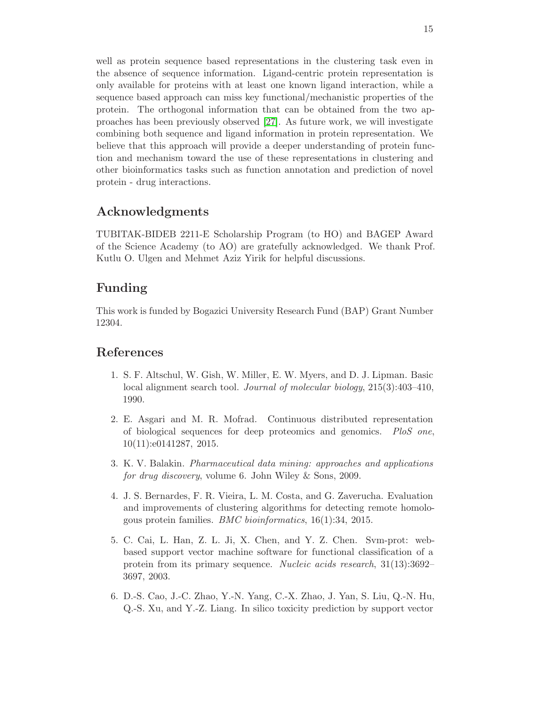well as protein sequence based representations in the clustering task even in the absence of sequence information. Ligand-centric protein representation is only available for proteins with at least one known ligand interaction, while a sequence based approach can miss key functional/mechanistic properties of the protein. The orthogonal information that can be obtained from the two approaches has been previously observed [\[27\]](#page-16-13). As future work, we will investigate combining both sequence and ligand information in protein representation. We believe that this approach will provide a deeper understanding of protein function and mechanism toward the use of these representations in clustering and other bioinformatics tasks such as function annotation and prediction of novel protein - drug interactions.

# Acknowledgments

TUBITAK-BIDEB 2211-E Scholarship Program (to HO) and BAGEP Award of the Science Academy (to AO) are gratefully acknowledged. We thank Prof. Kutlu O. Ulgen and Mehmet Aziz Yirik for helpful discussions.

# Funding

This work is funded by Bogazici University Research Fund (BAP) Grant Number 12304.

## <span id="page-14-5"></span>References

- 1. S. F. Altschul, W. Gish, W. Miller, E. W. Myers, and D. J. Lipman. Basic local alignment search tool. *Journal of molecular biology*, 215(3):403–410, 1990.
- <span id="page-14-1"></span>2. E. Asgari and M. R. Mofrad. Continuous distributed representation of biological sequences for deep proteomics and genomics. *PloS one*, 10(11):e0141287, 2015.
- <span id="page-14-4"></span>3. K. V. Balakin. *Pharmaceutical data mining: approaches and applications for drug discovery*, volume 6. John Wiley & Sons, 2009.
- <span id="page-14-3"></span>4. J. S. Bernardes, F. R. Vieira, L. M. Costa, and G. Zaverucha. Evaluation and improvements of clustering algorithms for detecting remote homologous protein families. *BMC bioinformatics*, 16(1):34, 2015.
- <span id="page-14-0"></span>5. C. Cai, L. Han, Z. L. Ji, X. Chen, and Y. Z. Chen. Svm-prot: webbased support vector machine software for functional classification of a protein from its primary sequence. *Nucleic acids research*, 31(13):3692– 3697, 2003.
- <span id="page-14-2"></span>6. D.-S. Cao, J.-C. Zhao, Y.-N. Yang, C.-X. Zhao, J. Yan, S. Liu, Q.-N. Hu, Q.-S. Xu, and Y.-Z. Liang. In silico toxicity prediction by support vector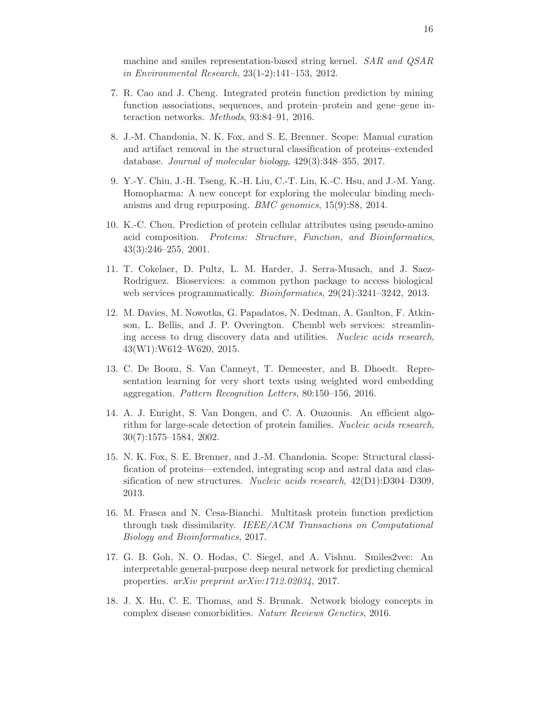machine and smiles representation-based string kernel. *SAR and QSAR in Environmental Research*, 23(1-2):141–153, 2012.

- <span id="page-15-2"></span>7. R. Cao and J. Cheng. Integrated protein function prediction by mining function associations, sequences, and protein–protein and gene–gene interaction networks. *Methods*, 93:84–91, 2016.
- <span id="page-15-7"></span>8. J.-M. Chandonia, N. K. Fox, and S. E. Brenner. Scope: Manual curation and artifact removal in the structural classification of proteins–extended database. *Journal of molecular biology*, 429(3):348–355, 2017.
- <span id="page-15-4"></span>9. Y.-Y. Chiu, J.-H. Tseng, K.-H. Liu, C.-T. Lin, K.-C. Hsu, and J.-M. Yang. Homopharma: A new concept for exploring the molecular binding mechanisms and drug repurposing. *BMC genomics*, 15(9):S8, 2014.
- <span id="page-15-1"></span>10. K.-C. Chou. Prediction of protein cellular attributes using pseudo-amino acid composition. *Proteins: Structure, Function, and Bioinformatics*, 43(3):246–255, 2001.
- <span id="page-15-9"></span>11. T. Cokelaer, D. Pultz, L. M. Harder, J. Serra-Musach, and J. Saez-Rodriguez. Bioservices: a common python package to access biological web services programmatically. *Bioinformatics*, 29(24):3241–3242, 2013.
- <span id="page-15-10"></span>12. M. Davies, M. Nowotka, G. Papadatos, N. Dedman, A. Gaulton, F. Atkinson, L. Bellis, and J. P. Overington. Chembl web services: streamlining access to drug discovery data and utilities. *Nucleic acids research*, 43(W1):W612–W620, 2015.
- <span id="page-15-11"></span>13. C. De Boom, S. Van Canneyt, T. Demeester, and B. Dhoedt. Representation learning for very short texts using weighted word embedding aggregation. *Pattern Recognition Letters*, 80:150–156, 2016.
- <span id="page-15-6"></span>14. A. J. Enright, S. Van Dongen, and C. A. Ouzounis. An efficient algorithm for large-scale detection of protein families. *Nucleic acids research*, 30(7):1575–1584, 2002.
- <span id="page-15-8"></span>15. N. K. Fox, S. E. Brenner, and J.-M. Chandonia. Scope: Structural classification of proteins—extended, integrating scop and astral data and classification of new structures. *Nucleic acids research*, 42(D1):D304–D309, 2013.
- <span id="page-15-3"></span>16. M. Frasca and N. Cesa-Bianchi. Multitask protein function prediction through task dissimilarity. *IEEE/ACM Transactions on Computational Biology and Bioinformatics*, 2017.
- <span id="page-15-5"></span>17. G. B. Goh, N. O. Hodas, C. Siegel, and A. Vishnu. Smiles2vec: An interpretable general-purpose deep neural network for predicting chemical properties. *arXiv preprint arXiv:1712.02034*, 2017.
- <span id="page-15-0"></span>18. J. X. Hu, C. E. Thomas, and S. Brunak. Network biology concepts in complex disease comorbidities. *Nature Reviews Genetics*, 2016.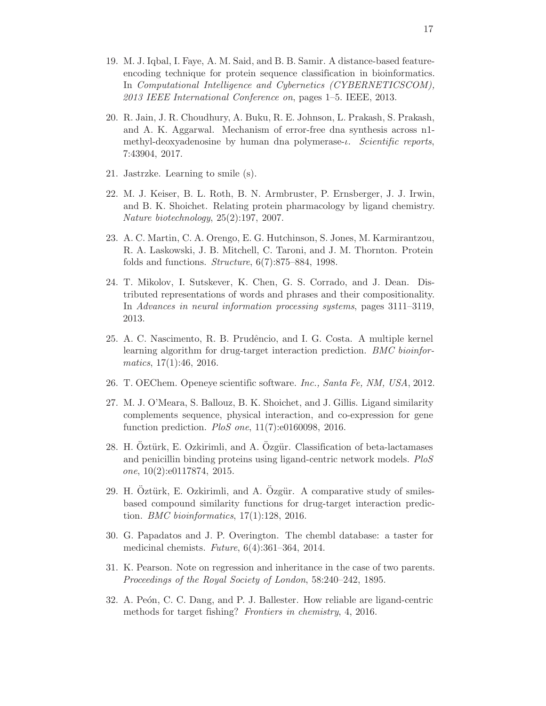- <span id="page-16-0"></span>19. M. J. Iqbal, I. Faye, A. M. Said, and B. B. Samir. A distance-based featureencoding technique for protein sequence classification in bioinformatics. In *Computational Intelligence and Cybernetics (CYBERNETICSCOM), 2013 IEEE International Conference on*, pages 1–5. IEEE, 2013.
- <span id="page-16-11"></span>20. R. Jain, J. R. Choudhury, A. Buku, R. E. Johnson, L. Prakash, S. Prakash, and A. K. Aggarwal. Mechanism of error-free dna synthesis across n1 methyl-deoxyadenosine by human dna polymerase-ι. *Scientific reports*, 7:43904, 2017.
- <span id="page-16-7"></span><span id="page-16-5"></span>21. Jastrzke. Learning to smile (s).
- 22. M. J. Keiser, B. L. Roth, B. N. Armbruster, P. Ernsberger, J. J. Irwin, and B. K. Shoichet. Relating protein pharmacology by ligand chemistry. *Nature biotechnology*, 25(2):197, 2007.
- <span id="page-16-2"></span>23. A. C. Martin, C. A. Orengo, E. G. Hutchinson, S. Jones, M. Karmirantzou, R. A. Laskowski, J. B. Mitchell, C. Taroni, and J. M. Thornton. Protein folds and functions. *Structure*, 6(7):875–884, 1998.
- <span id="page-16-1"></span>24. T. Mikolov, I. Sutskever, K. Chen, G. S. Corrado, and J. Dean. Distributed representations of words and phrases and their compositionality. In *Advances in neural information processing systems*, pages 3111–3119, 2013.
- <span id="page-16-3"></span>25. A. C. Nascimento, R. B. Prudêncio, and I. G. Costa. A multiple kernel learning algorithm for drug-target interaction prediction. *BMC bioinformatics*, 17(1):46, 2016.
- <span id="page-16-13"></span><span id="page-16-10"></span>26. T. OEChem. Openeye scientific software. *Inc., Santa Fe, NM, USA*, 2012.
- 27. M. J. O'Meara, S. Ballouz, B. K. Shoichet, and J. Gillis. Ligand similarity complements sequence, physical interaction, and co-expression for gene function prediction. *PloS one*, 11(7):e0160098, 2016.
- <span id="page-16-6"></span>28. H.  $\overline{Q}$ ztürk, E.  $Q$ zkirimli, and A.  $\overline{Q}$ zgür. Classification of beta-lactamases and penicillin binding proteins using ligand-centric network models. *PloS one*, 10(2):e0117874, 2015.
- <span id="page-16-8"></span>29. H. Öztürk, E. Ozkirimli, and A. Özgür. A comparative study of smilesbased compound similarity functions for drug-target interaction prediction. *BMC bioinformatics*, 17(1):128, 2016.
- <span id="page-16-9"></span>30. G. Papadatos and J. P. Overington. The chembl database: a taster for medicinal chemists. *Future*, 6(4):361–364, 2014.
- <span id="page-16-12"></span>31. K. Pearson. Note on regression and inheritance in the case of two parents. *Proceedings of the Royal Society of London*, 58:240–242, 1895.
- <span id="page-16-4"></span>32. A. Peón, C. C. Dang, and P. J. Ballester. How reliable are ligand-centric methods for target fishing? *Frontiers in chemistry*, 4, 2016.